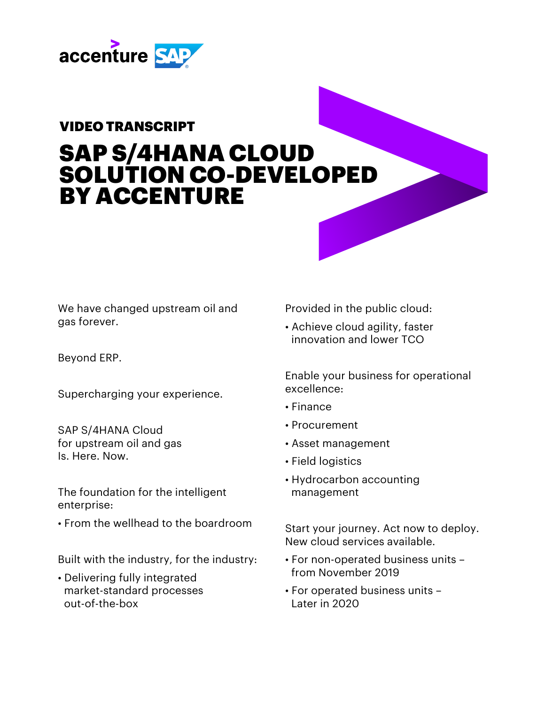

## VIDEO TRANSCRIPT

## SAP S/4HANA CLOUD SOLUTION CO-DEVELOPED BY ACCENTURE

We have changed upstream oil and gas forever.

Beyond ERP.

Supercharging your experience.

SAP S/4HANA Cloud for upstream oil and gas Is. Here. Now.

The foundation for the intelligent enterprise:

• From the wellhead to the boardroom

Built with the industry, for the industry:

• Delivering fully integrated market-standard processes out-of-the-box

Provided in the public cloud:

• Achieve cloud agility, faster innovation and lower TCO

Enable your business for operational excellence:

- Finance
- Procurement
- Asset management
- Field logistics
- Hydrocarbon accounting management

Start your journey. Act now to deploy. New cloud services available.

- For non-operated business units from November 2019
- For operated business units Later in 2020